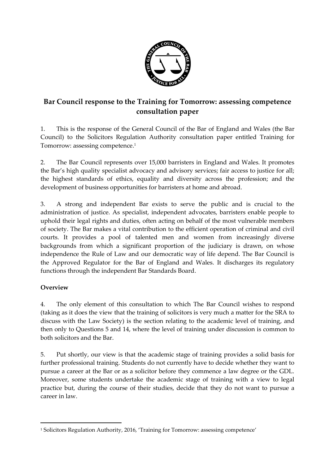

## **Bar Council response to the Training for Tomorrow: assessing competence consultation paper**

1. This is the response of the General Council of the Bar of England and Wales (the Bar Council) to the Solicitors Regulation Authority consultation paper entitled Training for Tomorrow: assessing competence.<sup>1</sup>

2. The Bar Council represents over 15,000 barristers in England and Wales. It promotes the Bar's high quality specialist advocacy and advisory services; fair access to justice for all; the highest standards of ethics, equality and diversity across the profession; and the development of business opportunities for barristers at home and abroad.

3. A strong and independent Bar exists to serve the public and is crucial to the administration of justice. As specialist, independent advocates, barristers enable people to uphold their legal rights and duties, often acting on behalf of the most vulnerable members of society. The Bar makes a vital contribution to the efficient operation of criminal and civil courts. It provides a pool of talented men and women from increasingly diverse backgrounds from which a significant proportion of the judiciary is drawn, on whose independence the Rule of Law and our democratic way of life depend. The Bar Council is the Approved Regulator for the Bar of England and Wales. It discharges its regulatory functions through the independent Bar Standards Board.

## **Overview**

 $\overline{a}$ 

4. The only element of this consultation to which The Bar Council wishes to respond (taking as it does the view that the training of solicitors is very much a matter for the SRA to discuss with the Law Society) is the section relating to the academic level of training, and then only to Questions 5 and 14, where the level of training under discussion is common to both solicitors and the Bar.

5. Put shortly, our view is that the academic stage of training provides a solid basis for further professional training. Students do not currently have to decide whether they want to pursue a career at the Bar or as a solicitor before they commence a law degree or the GDL. Moreover, some students undertake the academic stage of training with a view to legal practice but, during the course of their studies, decide that they do not want to pursue a career in law.

<sup>1</sup> Solicitors Regulation Authority, 2016, 'Training for Tomorrow: assessing competence'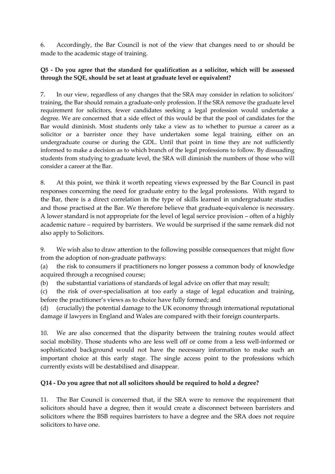6. Accordingly, the Bar Council is not of the view that changes need to or should be made to the academic stage of training.

## **Q5 - Do you agree that the standard for qualification as a solicitor, which will be assessed through the SQE, should be set at least at graduate level or equivalent?**

7. In our view, regardless of any changes that the SRA may consider in relation to solicitors' training, the Bar should remain a graduate-only profession. If the SRA remove the graduate level requirement for solicitors, fewer candidates seeking a legal profession would undertake a degree. We are concerned that a side effect of this would be that the pool of candidates for the Bar would diminish. Most students only take a view as to whether to pursue a career as a solicitor or a barrister once they have undertaken some legal training, either on an undergraduate course or during the GDL. Until that point in time they are not sufficiently informed to make a decision as to which branch of the legal professions to follow. By dissuading students from studying to graduate level, the SRA will diminish the numbers of those who will consider a career at the Bar.

8. At this point, we think it worth repeating views expressed by the Bar Council in past responses concerning the need for graduate entry to the legal professions. With regard to the Bar, there is a direct correlation in the type of skills learned in undergraduate studies and those practised at the Bar. We therefore believe that graduate-equivalence is necessary. A lower standard is not appropriate for the level of legal service provision – often of a highly academic nature – required by barristers. We would be surprised if the same remark did not also apply to Solicitors.

9. We wish also to draw attention to the following possible consequences that might flow from the adoption of non-graduate pathways:

(a) the risk to consumers if practitioners no longer possess a common body of knowledge acquired through a recognised course;

(b) the substantial variations of standards of legal advice on offer that may result;

(c) the risk of over-specialisation at too early a stage of legal education and training, before the practitioner's views as to choice have fully formed; and

(d) (crucially) the potential damage to the UK economy through international reputational damage if lawyers in England and Wales are compared with their foreign counterparts.

10. We are also concerned that the disparity between the training routes would affect social mobility. Those students who are less well off or come from a less well-informed or sophisticated background would not have the necessary information to make such an important choice at this early stage. The single access point to the professions which currently exists will be destabilised and disappear.

## **Q14 - Do you agree that not all solicitors should be required to hold a degree?**

11. The Bar Council is concerned that, if the SRA were to remove the requirement that solicitors should have a degree, then it would create a disconnect between barristers and solicitors where the BSB requires barristers to have a degree and the SRA does not require solicitors to have one.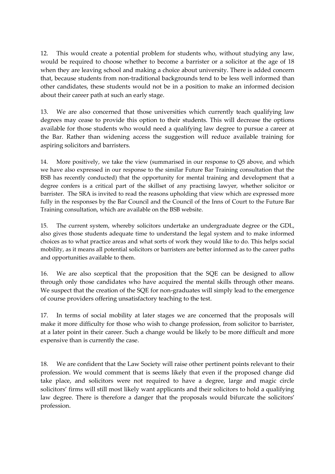12. This would create a potential problem for students who, without studying any law, would be required to choose whether to become a barrister or a solicitor at the age of 18 when they are leaving school and making a choice about university. There is added concern that, because students from non-traditional backgrounds tend to be less well informed than other candidates, these students would not be in a position to make an informed decision about their career path at such an early stage.

13. We are also concerned that those universities which currently teach qualifying law degrees may cease to provide this option to their students. This will decrease the options available for those students who would need a qualifying law degree to pursue a career at the Bar. Rather than widening access the suggestion will reduce available training for aspiring solicitors and barristers.

14. More positively, we take the view (summarised in our response to Q5 above, and which we have also expressed in our response to the similar Future Bar Training consultation that the BSB has recently conducted) that the opportunity for mental training and development that a degree confers is a critical part of the skillset of any practising lawyer, whether solicitor or barrister. The SRA is invited to read the reasons upholding that view which are expressed more fully in the responses by the Bar Council and the Council of the Inns of Court to the Future Bar Training consultation, which are available on the BSB website.

15. The current system, whereby solicitors undertake an undergraduate degree or the GDL, also gives those students adequate time to understand the legal system and to make informed choices as to what practice areas and what sorts of work they would like to do. This helps social mobility, as it means all potential solicitors or barristers are better informed as to the career paths and opportunities available to them.

16. We are also sceptical that the proposition that the SQE can be designed to allow through only those candidates who have acquired the mental skills through other means. We suspect that the creation of the SQE for non-graduates will simply lead to the emergence of course providers offering unsatisfactory teaching to the test.

17. In terms of social mobility at later stages we are concerned that the proposals will make it more difficulty for those who wish to change profession, from solicitor to barrister, at a later point in their career. Such a change would be likely to be more difficult and more expensive than is currently the case.

18. We are confident that the Law Society will raise other pertinent points relevant to their profession. We would comment that is seems likely that even if the proposed change did take place, and solicitors were not required to have a degree, large and magic circle solicitors' firms will still most likely want applicants and their solicitors to hold a qualifying law degree. There is therefore a danger that the proposals would bifurcate the solicitors' profession.